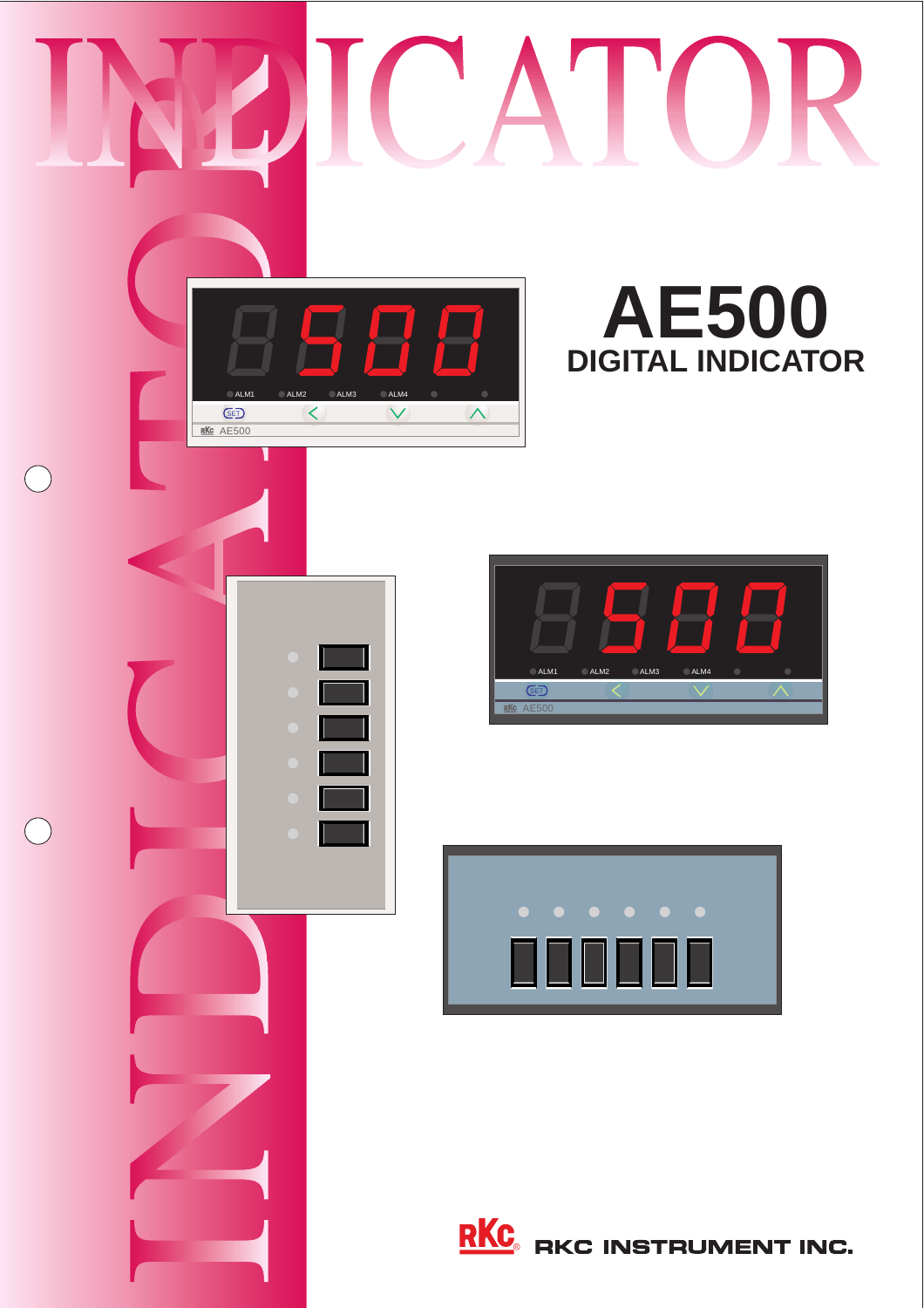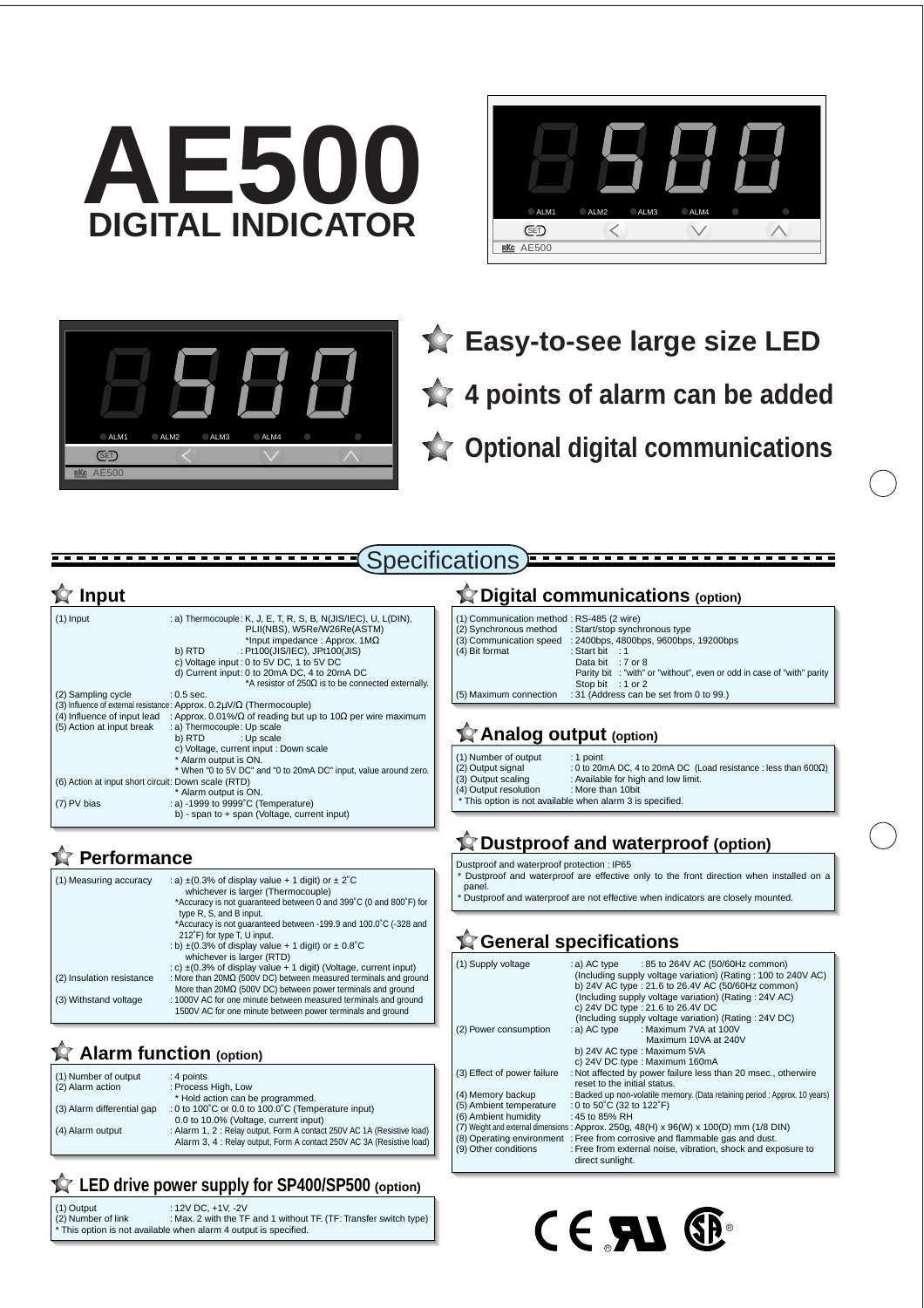





**Easy-to-see large size LED 4 points of alarm can be added Optional digital communications**

| $(1)$ Input                                         | : a) Thermocouple: K, J, E, T, R, S, B, N(JIS/IEC), U, L(DIN),<br>PLII(NBS), W5Re/W26Re(ASTM)<br>*Input impedance : Approx. $1M\Omega$ |
|-----------------------------------------------------|----------------------------------------------------------------------------------------------------------------------------------------|
|                                                     | : Pt100(JIS/IEC), JPt100(JIS)<br>b) RTD                                                                                                |
|                                                     | c) Voltage input: 0 to 5V DC, 1 to 5V DC                                                                                               |
|                                                     | d) Current input: 0 to 20mA DC, 4 to 20mA DC                                                                                           |
|                                                     | *A resistor of 250 $\Omega$ is to be connected externally.                                                                             |
| (2) Sampling cycle                                  | $: 0.5$ sec.                                                                                                                           |
|                                                     | (3) Influence of external resistance: Approx. $0.2\mu V/\Omega$ (Thermocouple)                                                         |
| (4) Influence of input lead                         | : Approx. 0.01%/ $\Omega$ of reading but up to 10 $\Omega$ per wire maximum                                                            |
| (5) Action at input break                           | : a) Thermocouple: Up scale                                                                                                            |
|                                                     | b) RTD<br>: Up scale                                                                                                                   |
|                                                     | c) Voltage, current input : Down scale                                                                                                 |
|                                                     | * Alarm output is ON.                                                                                                                  |
|                                                     | * When "0 to 5V DC" and "0 to 20mA DC" input, value around zero.                                                                       |
| (6) Action at input short circuit: Down scale (RTD) |                                                                                                                                        |
|                                                     | * Alarm output is ON.                                                                                                                  |
| (7) PV bias                                         | : a) -1999 to 9999°C (Temperature)                                                                                                     |
|                                                     | b) - span to + span (Voltage, current input)                                                                                           |

### **Performance**

| (1) Measuring accuracy    | : a) $\pm$ (0.3% of display value + 1 digit) or $\pm$ 2°C<br>whichever is larger (Thermocouple)                                               |
|---------------------------|-----------------------------------------------------------------------------------------------------------------------------------------------|
|                           | *Accuracy is not quaranteed between 0 and 399°C (0 and 800°F) for<br>type R, S, and B input.                                                  |
|                           | *Accuracy is not quaranteed between -199.9 and 100.0°C (-328 and<br>212°F) for type T, U input.                                               |
|                           | : b) $\pm$ (0.3% of display value + 1 digit) or $\pm$ 0.8°C<br>whichever is larger (RTD)                                                      |
|                           | : c) $\pm$ (0.3% of display value + 1 digit) (Voltage, current input)                                                                         |
| (2) Insulation resistance | : More than $20M\Omega$ (500V DC) between measured terminals and ground<br>More than $20M\Omega$ (500V DC) between power terminals and ground |
| (3) Withstand voltage     | : 1000V AC for one minute between measured terminals and ground<br>1500V AC for one minute between power terminals and ground                 |

### **Alarm function (option)**

| (1) Number of output       | : 4 points                                                               |
|----------------------------|--------------------------------------------------------------------------|
| (2) Alarm action           | : Process High, Low                                                      |
|                            | * Hold action can be programmed.                                         |
| (3) Alarm differential gap | : 0 to 100 $^{\circ}$ C or 0.0 to 100.0 $^{\circ}$ C (Temperature input) |
|                            | 0.0 to 10.0% (Voltage, current input)                                    |
| (4) Alarm output           | : Alarm 1, 2 : Relay output, Form A contact 250V AC 1A (Resistive load)  |
|                            | Alarm 3, 4 : Relay output, Form A contact 250V AC 3A (Resistive load)    |
|                            |                                                                          |

### **LED drive power supply for SP400/SP500 (option)**

| (1) Output         | : 12V DC. +1V. -2V                                                |
|--------------------|-------------------------------------------------------------------|
| (2) Number of link | : Max. 2 with the TF and 1 without TF. (TF: Transfer switch type) |
|                    | * This option is not available when alarm 4 output is specified.  |

### **<u>★</u> Input Input Input Integral communications** (option)

| (1) Communication method: RS-485 (2 wire) |                                                                        |
|-------------------------------------------|------------------------------------------------------------------------|
|                                           | (2) Synchronous method : Start/stop synchronous type                   |
| (3) Communication speed                   | : 2400bps, 4800bps, 9600bps, 19200bps                                  |
| (4) Bit format                            | : Start bit : 1                                                        |
|                                           | Data bit : 7 or 8                                                      |
|                                           | Parity bit : "with" or "without", even or odd in case of "with" parity |
|                                           | Stop bit : 1 or 2                                                      |
| (5) Maximum connection                    | : 31 (Address can be set from 0 to 99.)                                |

### **Analog output (option)**

Specifications)

(1) Number of output<br>(2) Output signal : 1 point<br>: 0 to 20mA DC, 4 to 20mA DC (Load resistance : less than 600Ω) : Not put if  $S$ , it is equivened by  $\frac{1}{2}$ .<br>
Solution in the scaling scaling in the scaling of the scaling scaling in the scaling scaling in the scaling of the scaling scaling in the scaling of the scaling of the scali (2) Output signal<br>(3) Output scaling<br>(4) Output resolution  $\overline{r}$  This option is not available when alarm 3 is specified.

# **Dustproof and waterproof (option)**

Dustproof and waterproof protection : IP65 \* Dustproof and waterproof are effective only to the front direction when installed on a panel.

\* Dustproof and waterproof are not effective when indicators are closely mounted.

## **General specifications**

| (1) Supply voltage          | $: a)$ AC type $: 85$ to 264V AC (50/60Hz common)<br>(Including supply voltage variation) (Rating: 100 to 240V AC)<br>b) 24V AC type: 21.6 to 26.4V AC (50/60Hz common)<br>(Including supply voltage variation) (Rating: 24V AC)<br>c) 24V DC type: 21.6 to 26.4V DC |
|-----------------------------|----------------------------------------------------------------------------------------------------------------------------------------------------------------------------------------------------------------------------------------------------------------------|
|                             | (Including supply voltage variation) (Rating: 24V DC)                                                                                                                                                                                                                |
| (2) Power consumption       | : a) AC type : Maximum 7VA at 100V                                                                                                                                                                                                                                   |
|                             | Maximum 10VA at 240V                                                                                                                                                                                                                                                 |
|                             | b) 24V AC type: Maximum 5VA                                                                                                                                                                                                                                          |
|                             | c) 24V DC type : Maximum 160mA                                                                                                                                                                                                                                       |
| (3) Effect of power failure | : Not affected by power failure less than 20 msec., otherwire<br>reset to the initial status.                                                                                                                                                                        |
| (4) Memory backup           | : Backed up non-volatile memory. (Data retaining period : Approx. 10 years)                                                                                                                                                                                          |
| (5) Ambient temperature     | : 0 to 50°C (32 to 122°F)                                                                                                                                                                                                                                            |
| (6) Ambient humidity        | : 45 to 85% RH                                                                                                                                                                                                                                                       |
|                             | (7) Weight and external dimensions: Approx. 250g, 48(H) x 96(W) x 100(D) mm (1/8 DIN)                                                                                                                                                                                |
|                             | (8) Operating environment : Free from corrosive and flammable gas and dust.                                                                                                                                                                                          |
| (9) Other conditions        | : Free from external noise, vibration, shock and exposure to<br>direct sunlight.                                                                                                                                                                                     |

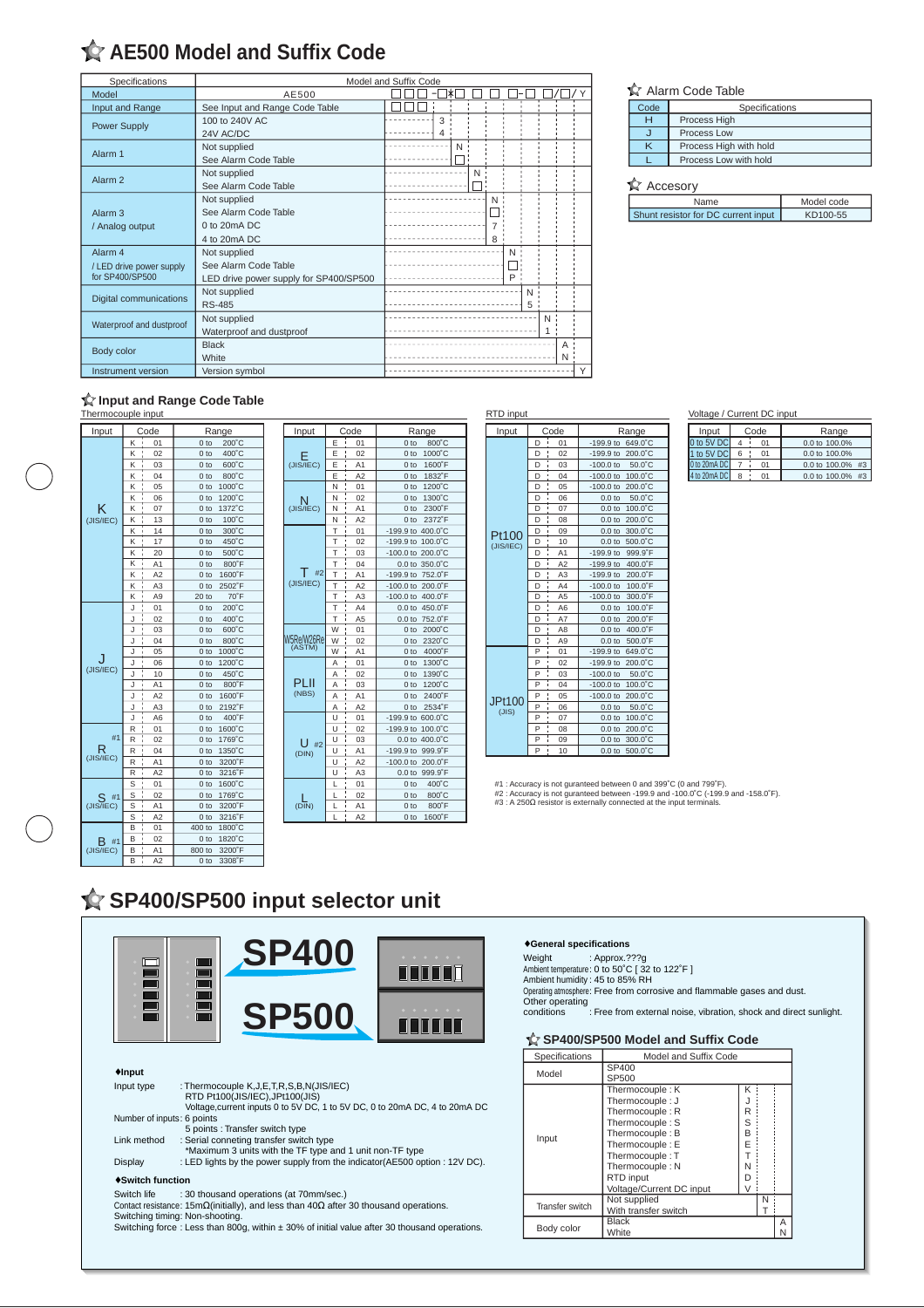# **AE500 Model and Suffix Code**

| Specifications                | Model and Suffix Code                  |       |  |  |  |
|-------------------------------|----------------------------------------|-------|--|--|--|
| Model                         | AE500                                  | l∗    |  |  |  |
| Input and Range               | See Input and Range Code Table         |       |  |  |  |
| Power Supply                  | 100 to 240V AC                         | 3     |  |  |  |
|                               | 24V AC/DC                              | 4     |  |  |  |
| Alarm 1                       | Not supplied                           | N     |  |  |  |
|                               | See Alarm Code Table                   |       |  |  |  |
| Alarm <sub>2</sub>            | Not supplied                           | N     |  |  |  |
|                               | See Alarm Code Table                   |       |  |  |  |
|                               | Not supplied                           | $N$ : |  |  |  |
| Alarm <sub>3</sub>            | See Alarm Code Table                   |       |  |  |  |
| / Analog output               | $0$ to $20mA$ DC                       |       |  |  |  |
|                               | 4 to 20mA DC                           | 8     |  |  |  |
| Alarm <sub>4</sub>            | Not supplied                           | N     |  |  |  |
| / LED drive power supply      | See Alarm Code Table                   |       |  |  |  |
| for SP400/SP500               | LED drive power supply for SP400/SP500 | P     |  |  |  |
| <b>Digital communications</b> | Not supplied                           | N     |  |  |  |
|                               | <b>RS-485</b>                          | 5:    |  |  |  |
| Waterproof and dustproof      | Not supplied                           | N :   |  |  |  |
|                               | Waterproof and dustproof               | 1     |  |  |  |
| Body color                    | <b>Black</b>                           | A     |  |  |  |
|                               | White                                  | Νŀ    |  |  |  |
| Instrument version            | Version symbol                         |       |  |  |  |
|                               |                                        |       |  |  |  |

### **Alarm Code Table**

| Code | Specifications         |  |  |
|------|------------------------|--|--|
| н    | Process High           |  |  |
|      | Process Low            |  |  |
| ĸ    | Process High with hold |  |  |
|      | Process Low with hold  |  |  |

### $\mathbf{\hat{X}}$  Accesory

| Name                                | Model code |
|-------------------------------------|------------|
| Shunt resistor for DC current input | KD100-55   |

# **Input and Range Code Table**<br> **Intermocouple input**

| Input          | Code                     | Range                     |
|----------------|--------------------------|---------------------------|
|                | 01<br>κ                  | 0 <sub>to</sub><br>200°C  |
| κ              | K<br>02                  | 0 <sub>to</sub><br>400°C  |
|                | K<br>03                  | 0 to<br>600°C             |
|                | K<br>04                  | 800°C<br>$0$ to           |
|                | Κ<br>05                  | $0$ to<br>1000°C          |
|                | K<br>06                  | 1200°C<br>$0$ to          |
|                | Ţ<br>07<br>Κ             | 1372°C<br>0 to            |
| (JIS/IEC)      | K<br>13                  | 0 <sub>to</sub><br>100°C  |
|                | K<br>î<br>14             | 300°C<br>0 to             |
|                | K<br>17                  | $0$ to<br>450°C           |
|                | K<br>20                  | $0$ to<br>500°C           |
|                | K<br>A1                  | $0$ to<br>800°F           |
|                | A2<br>K                  | $0$ to<br>1600°F          |
|                | A <sub>3</sub><br>K      | $0$ to<br>2502°F          |
|                | Ì<br>Κ<br>A <sub>9</sub> | 70°F<br>20 <sub>to</sub>  |
|                | 01<br>J                  | 0 to<br>200°C             |
|                | J<br>02                  | 400°C<br>0 <sub>to</sub>  |
| (JIS/IEC)      | J<br>03                  | 0 to<br>600°C             |
|                | J<br>04                  | 0 to<br>800°C             |
|                | J<br>05                  | 1000°C<br>0 <sub>to</sub> |
|                | ï<br>J<br>06             | 1200°C<br>0 to            |
|                | J<br>10                  | 0 to<br>450°C             |
|                | A <sub>1</sub><br>J<br>× | 0 <sub>to</sub><br>800°F  |
|                | A2<br>J                  | 0 <sub>to</sub><br>1600°F |
|                | J<br>A <sub>3</sub>      | 0 <sub>to</sub><br>2192°F |
|                | J<br>A <sub>6</sub>      | 0 <sub>to</sub><br>400°F  |
|                | R<br>01                  | 1600°C<br>$0$ to          |
| #1             | R<br>02                  | $0$ to<br>1769°C          |
| R<br>(JIS/IEC) | Ţ<br>04<br>R             | $0$ to<br>1350°C          |
|                | A1<br>R                  | 3200°F<br>0 to            |
|                | R<br>A2                  | 3216°F<br>0 <sub>to</sub> |
|                | S<br>01                  | 1600°C<br>$0$ to          |
| #1             | S<br>02                  | 1769°C<br>$0$ to          |
| (JIS/IEC)      | S<br>A1<br>ï             | 3200°F<br>$0$ to          |
|                | S<br>A <sub>2</sub>      | 0 <sub>to</sub><br>3216°F |
|                | B<br>01                  | 400 to<br>1800°C          |
| R<br>#1        | B<br>02                  | 1820°C<br>0 to            |
| (JIS/IEC)      | B<br>A <sub>1</sub>      | 3200°F<br>800 to          |
|                | B<br>A <sub>2</sub>      | 3308°F<br>0 <sub>to</sub> |

| Input                    |   | Code                     | Range                        |
|--------------------------|---|--------------------------|------------------------------|
|                          | E | 01                       | 0 <sub>to</sub><br>800°C     |
|                          | Ë | ï<br>02                  | 1000°C<br>0 <sub>to</sub>    |
| $E$ <sub>(JIS/IEC)</sub> | Ë | A <sub>1</sub><br>ī      | 1600°F<br>0 <sub>to</sub>    |
|                          | Ë | A2<br>ï                  | 1832°F<br>0 <sub>to</sub>    |
|                          | N | ï<br>01<br>ı             | 1200°C<br>0 <sub>to</sub>    |
| N                        | N | 02<br>ï                  | 1300°C<br>0 <sub>to</sub>    |
| (JIS/IEC)                | N | ı<br>A <sub>1</sub>      | 2300°F<br>0 <sub>to</sub>    |
|                          | N | A2<br>ï                  | 2372°F<br>0 <sub>to</sub>    |
|                          | T | 01<br>ï                  | $-199.9$ to<br>400.0°C       |
|                          | Т | ı<br>02                  | $-199.9$ to<br>100.0°C       |
|                          | T | ı<br>03                  | 200.0°C<br>$-100.0$ to       |
|                          | T | 04<br>ï                  | 350.0°C<br>0.0 <sub>to</sub> |
| #2                       | T | ı<br>A <sub>1</sub><br>ï | 752.0°F<br>$-199.9$ to       |
| (JIS/IEC)                | T | A2<br>ï                  | $-100.0$ to<br>200.0°F       |
|                          | T | A <sub>3</sub><br>ï      | $-100.0$ to<br>400.0°F       |
|                          | T | ı<br>A4                  | 0.0 <sub>to</sub><br>450.0°F |
|                          | T | A <sub>5</sub><br>ı      | 0.0 <sub>to</sub><br>752.0°F |
|                          | W | ı<br>01                  | 0 <sub>to</sub><br>2000°C    |
| W5Re/W26Re               | W | 02<br>ı                  | 0 <sub>to</sub><br>2320°C    |
| (ASTM)                   | W | A <sub>1</sub><br>ï      | 4000°F<br>0 to               |
|                          | A | ı<br>01                  | 1300°C<br>0 <sub>to</sub>    |
|                          | A | 02<br>ï                  | 1390°C<br>0 <sub>to</sub>    |
| PI II                    | Α | 03<br>ï                  | 1200°C<br>0 <sub>to</sub>    |
| (NBS)                    | A | ı<br>A <sub>1</sub>      | 0 <sub>to</sub><br>2400°F    |
|                          | A | A2<br>ï                  | 0 <sub>to</sub><br>2534°F    |
|                          | Ü | ı<br>01                  | $-199.9$ to<br>600.0°C       |
|                          | Ü | ı<br>02<br>ï             | 100.0°C<br>$-199.9$ to       |
| #2<br>(DIN)              | Ü | 03<br>ï                  | 400.0°C<br>0.0 <sub>to</sub> |
|                          | Ū | ı<br>A <sub>1</sub>      | $-199.9$ to<br>999.9°F       |
|                          | U | A2                       | $-100.0$ to<br>200.0°F       |
|                          | Ū | A <sub>3</sub><br>ï      | 0.0 <sub>to</sub><br>999.9°F |
|                          | L | 01<br>ï                  | 400°C<br>0 <sub>to</sub>     |
|                          | L | 02<br>ï                  | 800°C<br>0 <sub>to</sub>     |
| (DIN)                    | L | A <sub>1</sub>           | 800°F<br>0 <sub>to</sub>     |
|                          | ı | ï<br>A2                  | 1600°F<br>0 <sub>to</sub>    |

L A2

| RTD Input |      |                                |                              |
|-----------|------|--------------------------------|------------------------------|
| Input     | Code |                                | Range                        |
|           | D    | 01<br>ï                        | 649.0°C<br>$-199.9$ to       |
|           | D    | ı<br>02                        | 200.0°C<br>$-199.9$ to       |
|           | D    | 03                             | $-100.0$ to<br>50.0°C        |
|           | D    | 04<br>ı                        | $-100.0$ to<br>100.0°C       |
|           | D    | ı<br>05                        | $-100.0$ to<br>200.0°C       |
|           | D    | ī<br>06                        | 0.0 <sub>to</sub><br>50.0°C  |
|           | D    | ı<br>07                        | 0.0 <sub>to</sub><br>100.0°C |
|           | D    | $\mathbf{I}$<br>08             | 200.0°C<br>0.0 <sub>to</sub> |
| Pt100     | D    | 09                             | 0.0 <sub>to</sub><br>300.0°C |
| (JIS/IEC) | D    | $\mathbf{I}$<br>10             | 0.0 <sub>to</sub><br>500.0°C |
|           | D    | $\mathbf{I}$<br>A <sub>1</sub> | $-199.9$ to<br>999.9°F       |
|           | D    | A2                             | $-199.9$ to<br>400.0°F       |
|           | D    | A <sub>3</sub>                 | $-199.9$ to<br>200.0°F       |
|           | D    | A4                             | 100.0°F<br>$-100.0$ to       |
|           | D    | A <sub>5</sub>                 | $-100.0$ to<br>300.0°F       |
|           | D    | A <sub>6</sub>                 | 100.0°F<br>0.0 <sub>to</sub> |
|           | D    | A7                             | 200.0°F<br>0.0 <sub>to</sub> |
|           | D    | A <sub>8</sub>                 | 0.0 <sub>to</sub><br>400.0°F |
|           | D    | $\mathbf{r}$<br>A <sub>9</sub> | 500.0°F<br>0.0 <sub>to</sub> |
|           | P    | 01                             | $-199.9$ to<br>649.0 °C      |
|           | P    | 02                             | $-199.9$ to<br>200.0°C       |
|           | P    | 03                             | $-100.0$ to<br>50.0°C        |
|           | P    | 04<br>î                        | $-100.0$ to<br>100.0°C       |
| JPt100    | P    | 05                             | $-100.0$ to<br>200.0°C       |
| (JIS)     | P    | 06                             | 50.0°C<br>0.0 <sub>to</sub>  |
|           | P    | ï<br>07                        | 100.0°C<br>0.0 <sub>to</sub> |
|           | P    | 08                             | 200.0°C<br>0.0 <sub>to</sub> |
|           | P    | 09                             | 0.0 <sub>to</sub><br>300.0°C |
|           | P    | ï<br>10                        | 0.0 <sub>to</sub><br>500.0°C |

### Voltage / Current DC input

| Input            | Code |    | Range            |
|------------------|------|----|------------------|
| 0 to 5V DC       |      | 01 | 0.0 to 100.0%    |
| 1 to 5V DC       |      | 01 | 0.0 to 100.0%    |
| $0$ to $20mA$ DC |      | Λ1 | 0.0 to 100.0% #3 |
| 4 to 20mA DC     |      |    | 0.0 to 100.0% #3 |

#1 : Accuracy is not guranteed between 0 and 399˚C (0 and 799˚F).<br>#2 : Accuracy is not guranteed between -199.9 and -100.0℃ (-199.9 and -158.0˚F).<br>#3 : A 250Ω resistor is externally connected at the input terminals.

## **SP400/SP500 input selector unit**



#### ♦**General specifications**

: Approx.???g<br>Ambient temperature: 0 to 50˚C [ 32 to 122˚F ]<br>Ambient humidity : 45 to 85% RH<br>Operating atmosphere: Free from corrosive and flammable gases and dust. Other operating conditions : Free from external noise, vibration, shock and direct sunlight.

### **SP400/SP500 Model and Suffix Code**

| Model and Suffix Code                                                                                                                                                                         |                            |  |   |  |
|-----------------------------------------------------------------------------------------------------------------------------------------------------------------------------------------------|----------------------------|--|---|--|
| SP400<br>SP500                                                                                                                                                                                |                            |  |   |  |
| Thermocouple: K<br>Thermocouple: J<br>Thermocouple: R<br>Thermocouple: S<br>Thermocouple: B<br>Thermocouple: E<br>Thermocouple: T<br>Thermocouple: N<br>RTD input<br>Voltage/Current DC input | R<br>S<br>R<br>F<br>N<br>D |  |   |  |
| Not supplied<br>N<br>With transfer switch                                                                                                                                                     |                            |  |   |  |
| <b>Black</b><br>Body color<br>White                                                                                                                                                           |                            |  | А |  |
|                                                                                                                                                                                               |                            |  |   |  |